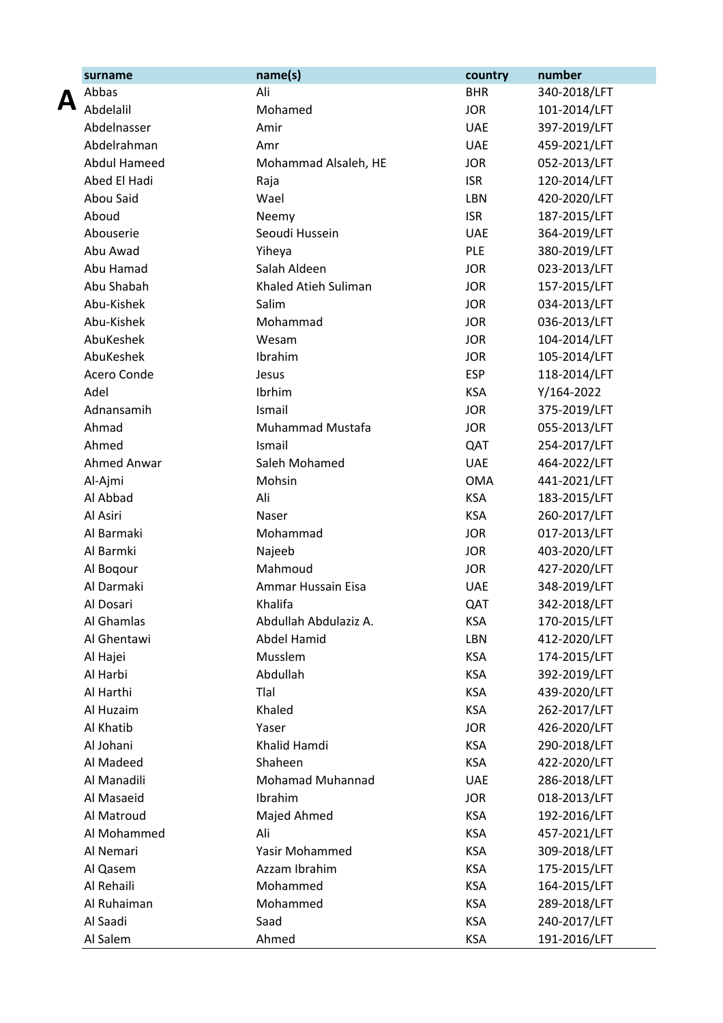|   | surname             | name(s)                 | country    | number       |
|---|---------------------|-------------------------|------------|--------------|
|   | Abbas               | Ali                     | <b>BHR</b> | 340-2018/LFT |
| A | Abdelalil           | Mohamed                 | <b>JOR</b> | 101-2014/LFT |
|   | Abdelnasser         | Amir                    | <b>UAE</b> | 397-2019/LFT |
|   | Abdelrahman         | Amr                     | <b>UAE</b> | 459-2021/LFT |
|   | <b>Abdul Hameed</b> | Mohammad Alsaleh, HE    | <b>JOR</b> | 052-2013/LFT |
|   | Abed El Hadi        | Raja                    | <b>ISR</b> | 120-2014/LFT |
|   | Abou Said           | Wael                    | LBN        | 420-2020/LFT |
|   | Aboud               | Neemy                   | <b>ISR</b> | 187-2015/LFT |
|   | Abouserie           | Seoudi Hussein          | <b>UAE</b> | 364-2019/LFT |
|   | Abu Awad            | Yiheya                  | <b>PLE</b> | 380-2019/LFT |
|   | Abu Hamad           | Salah Aldeen            | <b>JOR</b> | 023-2013/LFT |
|   | Abu Shabah          | Khaled Atieh Suliman    | <b>JOR</b> | 157-2015/LFT |
|   | Abu-Kishek          | Salim                   | <b>JOR</b> | 034-2013/LFT |
|   | Abu-Kishek          | Mohammad                | <b>JOR</b> | 036-2013/LFT |
|   | AbuKeshek           | Wesam                   | <b>JOR</b> | 104-2014/LFT |
|   | AbuKeshek           | Ibrahim                 | <b>JOR</b> | 105-2014/LFT |
|   | Acero Conde         | Jesus                   | <b>ESP</b> | 118-2014/LFT |
|   | Adel                | Ibrhim                  | <b>KSA</b> | Y/164-2022   |
|   | Adnansamih          | Ismail                  | <b>JOR</b> | 375-2019/LFT |
|   | Ahmad               | Muhammad Mustafa        | <b>JOR</b> | 055-2013/LFT |
|   | Ahmed               | Ismail                  | QAT        | 254-2017/LFT |
|   | Ahmed Anwar         | Saleh Mohamed           | <b>UAE</b> | 464-2022/LFT |
|   | Al-Ajmi             | Mohsin                  | <b>OMA</b> | 441-2021/LFT |
|   | Al Abbad            | Ali                     | <b>KSA</b> | 183-2015/LFT |
|   | Al Asiri            | Naser                   | <b>KSA</b> | 260-2017/LFT |
|   | Al Barmaki          | Mohammad                | <b>JOR</b> | 017-2013/LFT |
|   | Al Barmki           | Najeeb                  | <b>JOR</b> | 403-2020/LFT |
|   | Al Boqour           | Mahmoud                 | <b>JOR</b> | 427-2020/LFT |
|   | Al Darmaki          | Ammar Hussain Eisa      | <b>UAE</b> | 348-2019/LFT |
|   | Al Dosari           | Khalifa                 | QAT        | 342-2018/LFT |
|   | Al Ghamlas          | Abdullah Abdulaziz A.   | <b>KSA</b> | 170-2015/LFT |
|   | Al Ghentawi         | Abdel Hamid             | LBN        | 412-2020/LFT |
|   |                     |                         |            | 174-2015/LFT |
|   | Al Hajei            | Musslem                 | <b>KSA</b> |              |
|   | Al Harbi            | Abdullah                | <b>KSA</b> | 392-2019/LFT |
|   | Al Harthi           | Tlal                    | <b>KSA</b> | 439-2020/LFT |
|   | Al Huzaim           | Khaled                  | <b>KSA</b> | 262-2017/LFT |
|   | Al Khatib           | Yaser                   | <b>JOR</b> | 426-2020/LFT |
|   | Al Johani           | Khalid Hamdi            | <b>KSA</b> | 290-2018/LFT |
|   | Al Madeed           | Shaheen                 | <b>KSA</b> | 422-2020/LFT |
|   | Al Manadili         | <b>Mohamad Muhannad</b> | <b>UAE</b> | 286-2018/LFT |
|   | Al Masaeid          | Ibrahim                 | <b>JOR</b> | 018-2013/LFT |
|   | Al Matroud          | Majed Ahmed             | <b>KSA</b> | 192-2016/LFT |
|   | Al Mohammed         | Ali                     | <b>KSA</b> | 457-2021/LFT |
|   | Al Nemari           | Yasir Mohammed          | <b>KSA</b> | 309-2018/LFT |
|   | Al Qasem            | Azzam Ibrahim           | <b>KSA</b> | 175-2015/LFT |
|   | Al Rehaili          | Mohammed                | <b>KSA</b> | 164-2015/LFT |
|   | Al Ruhaiman         | Mohammed                | <b>KSA</b> | 289-2018/LFT |
|   | Al Saadi            | Saad                    | <b>KSA</b> | 240-2017/LFT |
|   | Al Salem            | Ahmed                   | KSA        | 191-2016/LFT |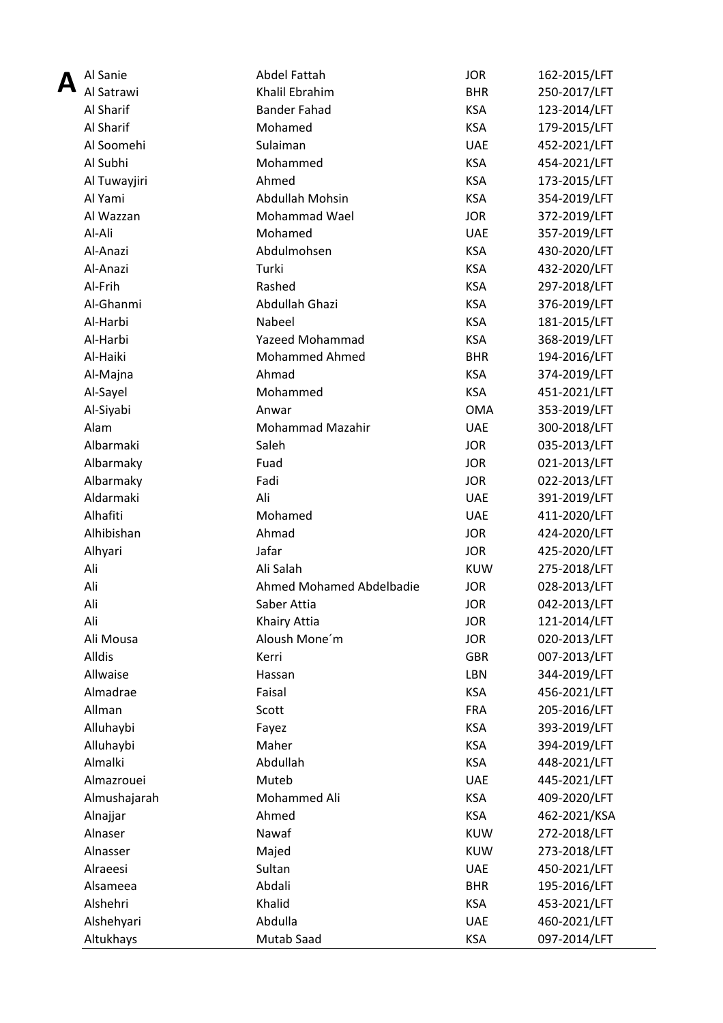| Al Sanie             | Abdel Fattah             | <b>JOR</b> | 162-2015/LFT |
|----------------------|--------------------------|------------|--------------|
| Al Satrawi           | Khalil Ebrahim           | <b>BHR</b> | 250-2017/LFT |
| Al Sharif            | <b>Bander Fahad</b>      | <b>KSA</b> | 123-2014/LFT |
| Al Sharif            | Mohamed                  | <b>KSA</b> | 179-2015/LFT |
| Al Soomehi           | Sulaiman                 | <b>UAE</b> | 452-2021/LFT |
| Al Subhi             | Mohammed                 | <b>KSA</b> | 454-2021/LFT |
| Al Tuwayjiri         | Ahmed                    | <b>KSA</b> | 173-2015/LFT |
| Al Yami              | Abdullah Mohsin          | <b>KSA</b> | 354-2019/LFT |
| Al Wazzan            | Mohammad Wael            | <b>JOR</b> | 372-2019/LFT |
| Al-Ali               | Mohamed                  | <b>UAE</b> | 357-2019/LFT |
| Al-Anazi             | Abdulmohsen              | <b>KSA</b> | 430-2020/LFT |
| Al-Anazi             | Turki                    | <b>KSA</b> | 432-2020/LFT |
| Al-Frih              | Rashed                   | <b>KSA</b> | 297-2018/LFT |
| Al-Ghanmi            | Abdullah Ghazi           | <b>KSA</b> | 376-2019/LFT |
| Al-Harbi             | Nabeel                   | <b>KSA</b> | 181-2015/LFT |
| Al-Harbi             | <b>Yazeed Mohammad</b>   | <b>KSA</b> | 368-2019/LFT |
| Al-Haiki             | <b>Mohammed Ahmed</b>    | <b>BHR</b> | 194-2016/LFT |
| Al-Majna             | Ahmad                    | <b>KSA</b> | 374-2019/LFT |
| Al-Sayel             | Mohammed                 | <b>KSA</b> | 451-2021/LFT |
| Al-Siyabi            | Anwar                    | <b>OMA</b> | 353-2019/LFT |
| Alam                 | Mohammad Mazahir         | <b>UAE</b> | 300-2018/LFT |
| Albarmaki            | Saleh                    | <b>JOR</b> | 035-2013/LFT |
| Albarmaky            | Fuad                     | <b>JOR</b> | 021-2013/LFT |
| Albarmaky            | Fadi                     | <b>JOR</b> | 022-2013/LFT |
| Aldarmaki            | Ali                      | <b>UAE</b> | 391-2019/LFT |
| Alhafiti             | Mohamed                  | <b>UAE</b> | 411-2020/LFT |
| Alhibishan           | Ahmad                    | <b>JOR</b> | 424-2020/LFT |
| Alhyari              | Jafar                    | <b>JOR</b> | 425-2020/LFT |
| Ali                  | Ali Salah                | <b>KUW</b> | 275-2018/LFT |
| Ali                  | Ahmed Mohamed Abdelbadie | <b>JOR</b> | 028-2013/LFT |
| Ali                  | Saber Attia              | <b>JOR</b> | 042-2013/LFT |
| Ali                  | Khairy Attia             | <b>JOR</b> | 121-2014/LFT |
| Ali Mousa            | Aloush Mone'm            | <b>JOR</b> | 020-2013/LFT |
| Alldis               | Kerri                    | <b>GBR</b> | 007-2013/LFT |
| Allwaise             | Hassan                   | LBN        | 344-2019/LFT |
| Almadrae             | Faisal                   | <b>KSA</b> | 456-2021/LFT |
| Allman               | Scott                    | <b>FRA</b> |              |
|                      |                          | <b>KSA</b> | 205-2016/LFT |
| Alluhaybi            | Fayez                    |            | 393-2019/LFT |
| Alluhaybi<br>Almalki | Maher                    | <b>KSA</b> | 394-2019/LFT |
|                      | Abdullah                 | <b>KSA</b> | 448-2021/LFT |
| Almazrouei           | Muteb                    | <b>UAE</b> | 445-2021/LFT |
| Almushajarah         | Mohammed Ali             | <b>KSA</b> | 409-2020/LFT |
| Alnajjar             | Ahmed                    | <b>KSA</b> | 462-2021/KSA |
| Alnaser              | Nawaf                    | <b>KUW</b> | 272-2018/LFT |
| Alnasser             | Majed                    | <b>KUW</b> | 273-2018/LFT |
| Alraeesi             | Sultan                   | <b>UAE</b> | 450-2021/LFT |
| Alsameea             | Abdali                   | <b>BHR</b> | 195-2016/LFT |
| Alshehri             | Khalid                   | <b>KSA</b> | 453-2021/LFT |
| Alshehyari           | Abdulla                  | <b>UAE</b> | 460-2021/LFT |
| Altukhays            | Mutab Saad               | <b>KSA</b> | 097-2014/LFT |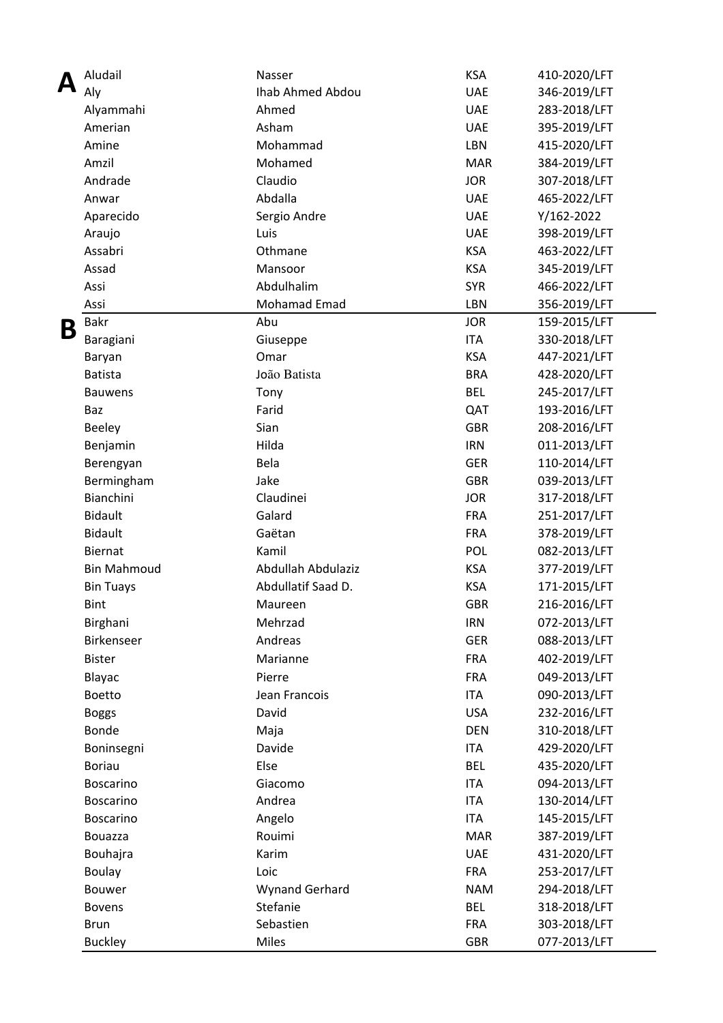|   | Aludail            | Nasser                | <b>KSA</b> | 410-2020/LFT |
|---|--------------------|-----------------------|------------|--------------|
|   | Aly                | Ihab Ahmed Abdou      | <b>UAE</b> | 346-2019/LFT |
|   | Alyammahi          | Ahmed                 | <b>UAE</b> | 283-2018/LFT |
|   | Amerian            | Asham                 | <b>UAE</b> | 395-2019/LFT |
|   | Amine              | Mohammad              | <b>LBN</b> | 415-2020/LFT |
|   | Amzil              | Mohamed               | <b>MAR</b> | 384-2019/LFT |
|   | Andrade            | Claudio               | <b>JOR</b> | 307-2018/LFT |
|   | Anwar              | Abdalla               | <b>UAE</b> | 465-2022/LFT |
|   | Aparecido          | Sergio Andre          | <b>UAE</b> | Y/162-2022   |
|   | Araujo             | Luis                  | <b>UAE</b> | 398-2019/LFT |
|   | Assabri            | Othmane               | <b>KSA</b> | 463-2022/LFT |
|   | Assad              | Mansoor               | <b>KSA</b> | 345-2019/LFT |
|   | Assi               | Abdulhalim            | <b>SYR</b> | 466-2022/LFT |
|   | Assi               | Mohamad Emad          | LBN        | 356-2019/LFT |
| В | Bakr               | Abu                   | <b>JOR</b> | 159-2015/LFT |
|   | Baragiani          | Giuseppe              | <b>ITA</b> | 330-2018/LFT |
|   | Baryan             | Omar                  | <b>KSA</b> | 447-2021/LFT |
|   | <b>Batista</b>     | João Batista          | <b>BRA</b> | 428-2020/LFT |
|   | <b>Bauwens</b>     | Tony                  | <b>BEL</b> | 245-2017/LFT |
|   | Baz                | Farid                 | QAT        | 193-2016/LFT |
|   | <b>Beeley</b>      | Sian                  | <b>GBR</b> | 208-2016/LFT |
|   | Benjamin           | Hilda                 | <b>IRN</b> | 011-2013/LFT |
|   | Berengyan          | Bela                  | <b>GER</b> | 110-2014/LFT |
|   | Bermingham         | Jake                  | <b>GBR</b> | 039-2013/LFT |
|   | Bianchini          | Claudinei             | <b>JOR</b> | 317-2018/LFT |
|   | <b>Bidault</b>     | Galard                | <b>FRA</b> | 251-2017/LFT |
|   | <b>Bidault</b>     | Gaëtan                | <b>FRA</b> | 378-2019/LFT |
|   | Biernat            | Kamil                 | POL        | 082-2013/LFT |
|   | <b>Bin Mahmoud</b> | Abdullah Abdulaziz    | <b>KSA</b> | 377-2019/LFT |
|   | <b>Bin Tuays</b>   | Abdullatif Saad D.    | <b>KSA</b> | 171-2015/LFT |
|   | <b>Bint</b>        | Maureen               | <b>GBR</b> | 216-2016/LFT |
|   | Birghani           | Mehrzad               | <b>IRN</b> | 072-2013/LFT |
|   | <b>Birkenseer</b>  | Andreas               | <b>GER</b> | 088-2013/LFT |
|   | <b>Bister</b>      | Marianne              | <b>FRA</b> | 402-2019/LFT |
|   | Blayac             | Pierre                | <b>FRA</b> | 049-2013/LFT |
|   | <b>Boetto</b>      | Jean Francois         | <b>ITA</b> | 090-2013/LFT |
|   | <b>Boggs</b>       | David                 | <b>USA</b> | 232-2016/LFT |
|   | Bonde              | Maja                  | <b>DEN</b> | 310-2018/LFT |
|   | Boninsegni         | Davide                | <b>ITA</b> | 429-2020/LFT |
|   | <b>Boriau</b>      | Else                  | <b>BEL</b> | 435-2020/LFT |
|   | <b>Boscarino</b>   | Giacomo               | <b>ITA</b> | 094-2013/LFT |
|   | <b>Boscarino</b>   | Andrea                | <b>ITA</b> | 130-2014/LFT |
|   | Boscarino          | Angelo                | <b>ITA</b> | 145-2015/LFT |
|   | Bouazza            | Rouimi                | <b>MAR</b> | 387-2019/LFT |
|   | Bouhajra           | Karim                 | <b>UAE</b> | 431-2020/LFT |
|   | Boulay             | Loic                  | <b>FRA</b> | 253-2017/LFT |
|   | <b>Bouwer</b>      | <b>Wynand Gerhard</b> | <b>NAM</b> | 294-2018/LFT |
|   | <b>Bovens</b>      | Stefanie              | <b>BEL</b> | 318-2018/LFT |
|   | <b>Brun</b>        | Sebastien             | <b>FRA</b> | 303-2018/LFT |
|   | <b>Buckley</b>     | Miles                 | <b>GBR</b> | 077-2013/LFT |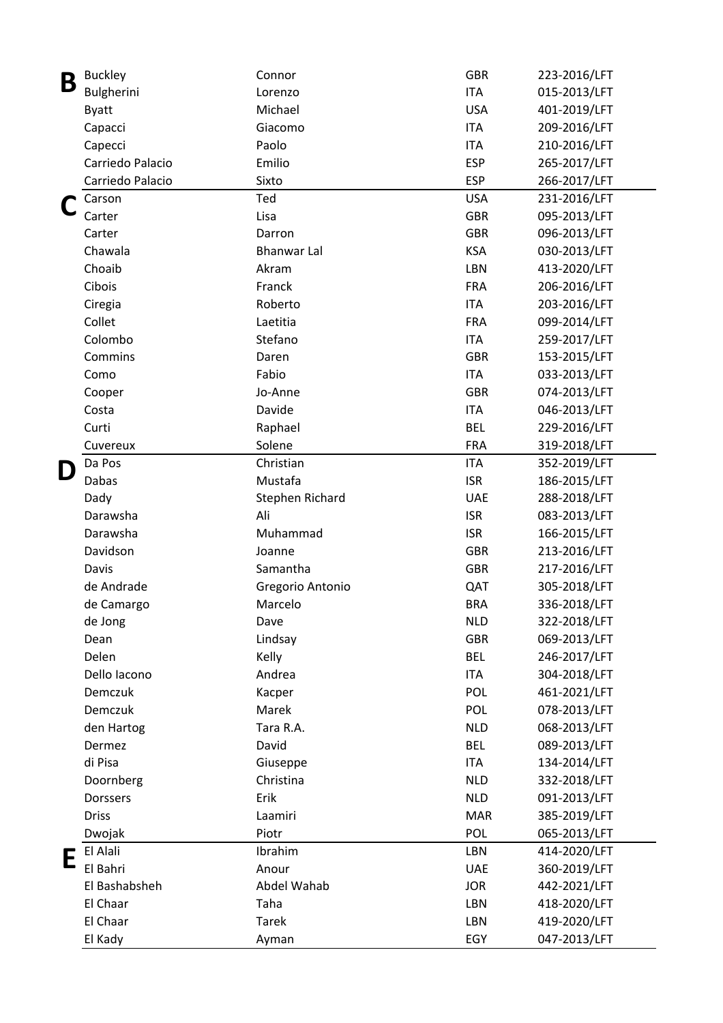| Β | <b>Buckley</b>   | Connor             | <b>GBR</b> | 223-2016/LFT |
|---|------------------|--------------------|------------|--------------|
|   | Bulgherini       | Lorenzo            | <b>ITA</b> | 015-2013/LFT |
|   | <b>Byatt</b>     | Michael            | <b>USA</b> | 401-2019/LFT |
|   | Capacci          | Giacomo            | <b>ITA</b> | 209-2016/LFT |
|   | Capecci          | Paolo              | <b>ITA</b> | 210-2016/LFT |
|   | Carriedo Palacio | Emilio             | <b>ESP</b> | 265-2017/LFT |
|   | Carriedo Palacio | Sixto              | <b>ESP</b> | 266-2017/LFT |
|   | Carson           | Ted                | <b>USA</b> | 231-2016/LFT |
|   | Carter           | Lisa               | <b>GBR</b> | 095-2013/LFT |
|   | Carter           | Darron             | <b>GBR</b> | 096-2013/LFT |
|   | Chawala          | <b>Bhanwar Lal</b> | <b>KSA</b> | 030-2013/LFT |
|   | Choaib           | Akram              | LBN        | 413-2020/LFT |
|   | Cibois           | Franck             | <b>FRA</b> | 206-2016/LFT |
|   | Ciregia          | Roberto            | <b>ITA</b> | 203-2016/LFT |
|   | Collet           | Laetitia           | <b>FRA</b> | 099-2014/LFT |
|   | Colombo          | Stefano            | <b>ITA</b> | 259-2017/LFT |
|   | Commins          | Daren              | <b>GBR</b> | 153-2015/LFT |
|   | Como             | Fabio              | <b>ITA</b> | 033-2013/LFT |
|   | Cooper           | Jo-Anne            | <b>GBR</b> | 074-2013/LFT |
|   | Costa            | Davide             | <b>ITA</b> | 046-2013/LFT |
|   | Curti            | Raphael            | <b>BEL</b> | 229-2016/LFT |
|   | Cuvereux         | Solene             | <b>FRA</b> | 319-2018/LFT |
|   | Da Pos           | Christian          | <b>ITA</b> | 352-2019/LFT |
| D | Dabas            | Mustafa            | <b>ISR</b> | 186-2015/LFT |
|   | Dady             | Stephen Richard    | <b>UAE</b> | 288-2018/LFT |
|   | Darawsha         | Ali                | <b>ISR</b> | 083-2013/LFT |
|   | Darawsha         | Muhammad           | <b>ISR</b> | 166-2015/LFT |
|   | Davidson         | Joanne             | <b>GBR</b> | 213-2016/LFT |
|   | Davis            | Samantha           | <b>GBR</b> | 217-2016/LFT |
|   | de Andrade       | Gregorio Antonio   | QAT        | 305-2018/LFT |
|   |                  | Marcelo            | <b>BRA</b> | 336-2018/LFT |
|   | de Camargo       | Dave               | <b>NLD</b> |              |
|   | de Jong          |                    | <b>GBR</b> | 322-2018/LFT |
|   | Dean             | Lindsay            |            | 069-2013/LFT |
|   | Delen            | Kelly              | <b>BEL</b> | 246-2017/LFT |
|   | Dello Iacono     | Andrea             | <b>ITA</b> | 304-2018/LFT |
|   | Demczuk          | Kacper             | POL        | 461-2021/LFT |
|   | Demczuk          | Marek              | POL        | 078-2013/LFT |
|   | den Hartog       | Tara R.A.          | <b>NLD</b> | 068-2013/LFT |
|   | Dermez           | David              | <b>BEL</b> | 089-2013/LFT |
|   | di Pisa          | Giuseppe           | <b>ITA</b> | 134-2014/LFT |
|   | Doornberg        | Christina          | <b>NLD</b> | 332-2018/LFT |
|   | <b>Dorssers</b>  | Erik               | <b>NLD</b> | 091-2013/LFT |
|   | <b>Driss</b>     | Laamiri            | <b>MAR</b> | 385-2019/LFT |
|   | Dwojak           | Piotr              | POL        | 065-2013/LFT |
| Ε | El Alali         | Ibrahim            | LBN        | 414-2020/LFT |
|   | El Bahri         | Anour              | <b>UAE</b> | 360-2019/LFT |
|   | El Bashabsheh    | Abdel Wahab        | <b>JOR</b> | 442-2021/LFT |
|   | El Chaar         | Taha               | LBN        | 418-2020/LFT |
|   | El Chaar         | <b>Tarek</b>       | LBN        | 419-2020/LFT |
|   | El Kady          | Ayman              | EGY        | 047-2013/LFT |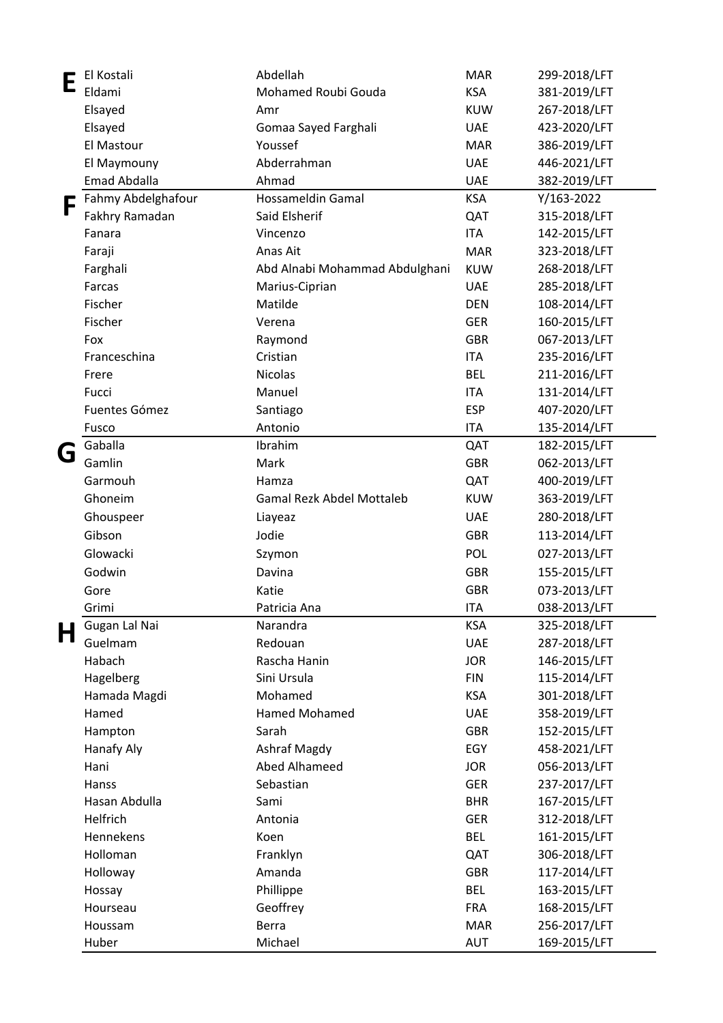| E | El Kostali         | Abdellah                       | <b>MAR</b> | 299-2018/LFT |
|---|--------------------|--------------------------------|------------|--------------|
|   | Eldami             | Mohamed Roubi Gouda            | <b>KSA</b> | 381-2019/LFT |
|   | Elsayed            | Amr                            | <b>KUW</b> | 267-2018/LFT |
|   | Elsayed            | Gomaa Sayed Farghali           | <b>UAE</b> | 423-2020/LFT |
|   | El Mastour         | Youssef                        | <b>MAR</b> | 386-2019/LFT |
|   | El Maymouny        | Abderrahman                    | <b>UAE</b> | 446-2021/LFT |
|   | Emad Abdalla       | Ahmad                          | <b>UAE</b> | 382-2019/LFT |
|   | Fahmy Abdelghafour | Hossameldin Gamal              | <b>KSA</b> | Y/163-2022   |
|   | Fakhry Ramadan     | Said Elsherif                  | QAT        | 315-2018/LFT |
|   | Fanara             | Vincenzo                       | <b>ITA</b> | 142-2015/LFT |
|   | Faraji             | Anas Ait                       | <b>MAR</b> | 323-2018/LFT |
|   | Farghali           | Abd Alnabi Mohammad Abdulghani | <b>KUW</b> | 268-2018/LFT |
|   | Farcas             | Marius-Ciprian                 | <b>UAE</b> | 285-2018/LFT |
|   | Fischer            | Matilde                        | <b>DEN</b> | 108-2014/LFT |
|   | Fischer            | Verena                         | <b>GER</b> | 160-2015/LFT |
|   | Fox                | Raymond                        | <b>GBR</b> | 067-2013/LFT |
|   | Franceschina       | Cristian                       | <b>ITA</b> | 235-2016/LFT |
|   | Frere              | Nicolas                        | <b>BEL</b> | 211-2016/LFT |
|   | Fucci              | Manuel                         | <b>ITA</b> | 131-2014/LFT |
|   | Fuentes Gómez      | Santiago                       | <b>ESP</b> | 407-2020/LFT |
|   | Fusco              | Antonio                        | <b>ITA</b> | 135-2014/LFT |
|   | Gaballa            | Ibrahim                        | QAT        | 182-2015/LFT |
| G | Gamlin             | Mark                           | <b>GBR</b> | 062-2013/LFT |
|   | Garmouh            | Hamza                          | QAT        | 400-2019/LFT |
|   | Ghoneim            | Gamal Rezk Abdel Mottaleb      | <b>KUW</b> | 363-2019/LFT |
|   |                    |                                |            |              |
|   | Ghouspeer          | Liayeaz                        | <b>UAE</b> | 280-2018/LFT |
|   | Gibson             | Jodie                          | <b>GBR</b> | 113-2014/LFT |
|   | Glowacki           | Szymon                         | POL        | 027-2013/LFT |
|   | Godwin             | Davina                         | <b>GBR</b> | 155-2015/LFT |
|   | Gore               | Katie                          | <b>GBR</b> | 073-2013/LFT |
|   | Grimi              | Patricia Ana                   | <b>ITA</b> | 038-2013/LFT |
| П | Gugan Lal Nai      | Narandra                       | <b>KSA</b> | 325-2018/LFT |
|   | Guelmam            | Redouan                        | <b>UAE</b> | 287-2018/LFT |
|   | Habach             | Rascha Hanin                   | <b>JOR</b> | 146-2015/LFT |
|   | Hagelberg          | Sini Ursula                    | <b>FIN</b> | 115-2014/LFT |
|   | Hamada Magdi       | Mohamed                        | <b>KSA</b> | 301-2018/LFT |
|   | Hamed              | Hamed Mohamed                  | <b>UAE</b> | 358-2019/LFT |
|   | Hampton            | Sarah                          | <b>GBR</b> | 152-2015/LFT |
|   | Hanafy Aly         | Ashraf Magdy                   | EGY        | 458-2021/LFT |
|   | Hani               | Abed Alhameed                  | <b>JOR</b> | 056-2013/LFT |
|   | Hanss              | Sebastian                      | <b>GER</b> | 237-2017/LFT |
|   | Hasan Abdulla      | Sami                           | <b>BHR</b> | 167-2015/LFT |
|   | Helfrich           | Antonia                        | <b>GER</b> | 312-2018/LFT |
|   | Hennekens          | Koen                           | <b>BEL</b> | 161-2015/LFT |
|   | Holloman           | Franklyn                       | QAT        | 306-2018/LFT |
|   | Holloway           | Amanda                         | <b>GBR</b> | 117-2014/LFT |
|   | Hossay             | Phillippe                      | <b>BEL</b> | 163-2015/LFT |
|   | Hourseau           | Geoffrey                       | <b>FRA</b> | 168-2015/LFT |
|   | Houssam            | <b>Berra</b>                   | <b>MAR</b> | 256-2017/LFT |
|   | Huber              | Michael                        | AUT        | 169-2015/LFT |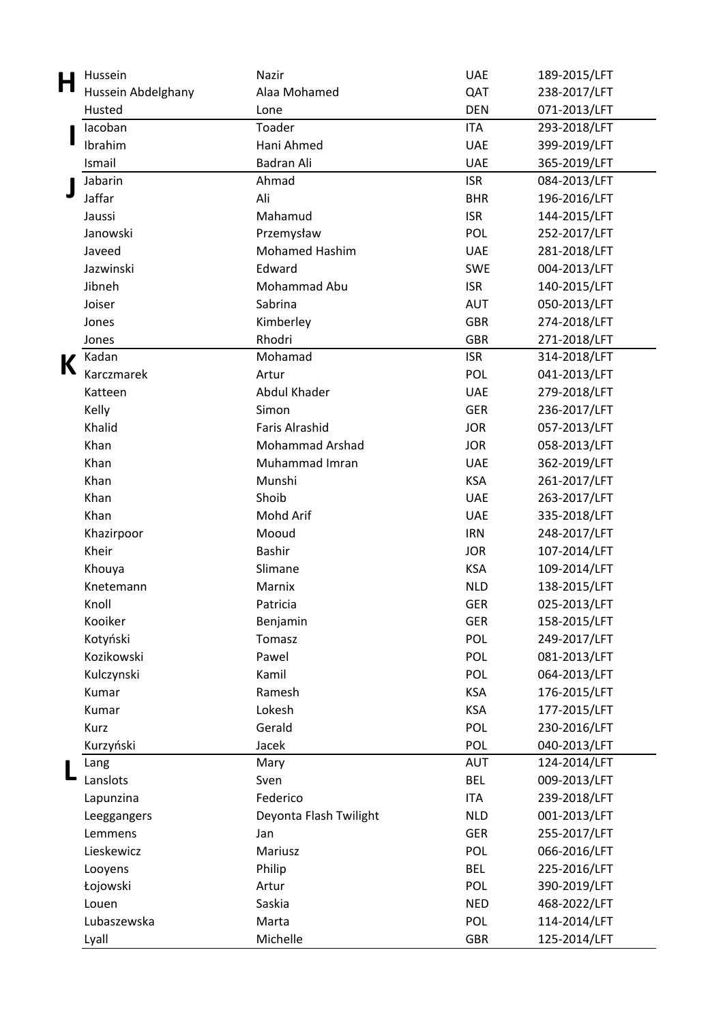| H | Hussein            | Nazir                  | <b>UAE</b> | 189-2015/LFT |
|---|--------------------|------------------------|------------|--------------|
|   | Hussein Abdelghany | Alaa Mohamed           | QAT        | 238-2017/LFT |
|   | Husted             | Lone                   | <b>DEN</b> | 071-2013/LFT |
|   | lacoban            | Toader                 | <b>ITA</b> | 293-2018/LFT |
|   | Ibrahim            | Hani Ahmed             | <b>UAE</b> | 399-2019/LFT |
|   | Ismail             | Badran Ali             | <b>UAE</b> | 365-2019/LFT |
|   | Jabarin            | Ahmad                  | <b>ISR</b> | 084-2013/LFT |
|   | Jaffar             | Ali                    | <b>BHR</b> | 196-2016/LFT |
|   | Jaussi             | Mahamud                | <b>ISR</b> | 144-2015/LFT |
|   | Janowski           | Przemysław             | POL        | 252-2017/LFT |
|   | Javeed             | <b>Mohamed Hashim</b>  | <b>UAE</b> | 281-2018/LFT |
|   | Jazwinski          | Edward                 | <b>SWE</b> | 004-2013/LFT |
|   | Jibneh             | Mohammad Abu           | <b>ISR</b> | 140-2015/LFT |
|   | Joiser             | Sabrina                | <b>AUT</b> | 050-2013/LFT |
|   | Jones              | Kimberley              | <b>GBR</b> | 274-2018/LFT |
|   | Jones              | Rhodri                 | <b>GBR</b> | 271-2018/LFT |
| K | Kadan              | Mohamad                | <b>ISR</b> | 314-2018/LFT |
|   | Karczmarek         | Artur                  | POL        | 041-2013/LFT |
|   | Katteen            | Abdul Khader           | <b>UAE</b> | 279-2018/LFT |
|   | Kelly              | Simon                  | <b>GER</b> | 236-2017/LFT |
|   | Khalid             | <b>Faris Alrashid</b>  | <b>JOR</b> | 057-2013/LFT |
|   | Khan               | <b>Mohammad Arshad</b> | <b>JOR</b> | 058-2013/LFT |
|   | Khan               | Muhammad Imran         | <b>UAE</b> | 362-2019/LFT |
|   | Khan               | Munshi                 | <b>KSA</b> | 261-2017/LFT |
|   | Khan               | Shoib                  | <b>UAE</b> | 263-2017/LFT |
|   | Khan               | Mohd Arif              | <b>UAE</b> | 335-2018/LFT |
|   | Khazirpoor         | Mooud                  | <b>IRN</b> | 248-2017/LFT |
|   | Kheir              | <b>Bashir</b>          | <b>JOR</b> | 107-2014/LFT |
|   | Khouya             | Slimane                | <b>KSA</b> | 109-2014/LFT |
|   | Knetemann          | Marnix                 | <b>NLD</b> | 138-2015/LFT |
|   | Knoll              | Patricia               | <b>GER</b> | 025-2013/LFT |
|   | Kooiker            | Benjamin               | <b>GER</b> | 158-2015/LFT |
|   | Kotyński           | Tomasz                 | POL        | 249-2017/LFT |
|   | Kozikowski         | Pawel                  | POL        | 081-2013/LFT |
|   | Kulczynski         | Kamil                  | POL        | 064-2013/LFT |
|   | Kumar              | Ramesh                 | <b>KSA</b> | 176-2015/LFT |
|   | Kumar              | Lokesh                 | <b>KSA</b> | 177-2015/LFT |
|   | Kurz               | Gerald                 | POL        | 230-2016/LFT |
|   | Kurzyński          | Jacek                  | POL        | 040-2013/LFT |
|   | Lang               | Mary                   | <b>AUT</b> | 124-2014/LFT |
|   | Lanslots           | Sven                   | <b>BEL</b> | 009-2013/LFT |
|   | Lapunzina          | Federico               | <b>ITA</b> | 239-2018/LFT |
|   | Leeggangers        | Deyonta Flash Twilight | <b>NLD</b> | 001-2013/LFT |
|   | Lemmens            | Jan                    | <b>GER</b> | 255-2017/LFT |
|   | Lieskewicz         | Mariusz                | POL        | 066-2016/LFT |
|   | Looyens            | Philip                 | <b>BEL</b> | 225-2016/LFT |
|   | Łojowski           | Artur                  | POL        | 390-2019/LFT |
|   | Louen              | Saskia                 | <b>NED</b> | 468-2022/LFT |
|   | Lubaszewska        | Marta                  | POL        | 114-2014/LFT |
|   | Lyall              | Michelle               | GBR        | 125-2014/LFT |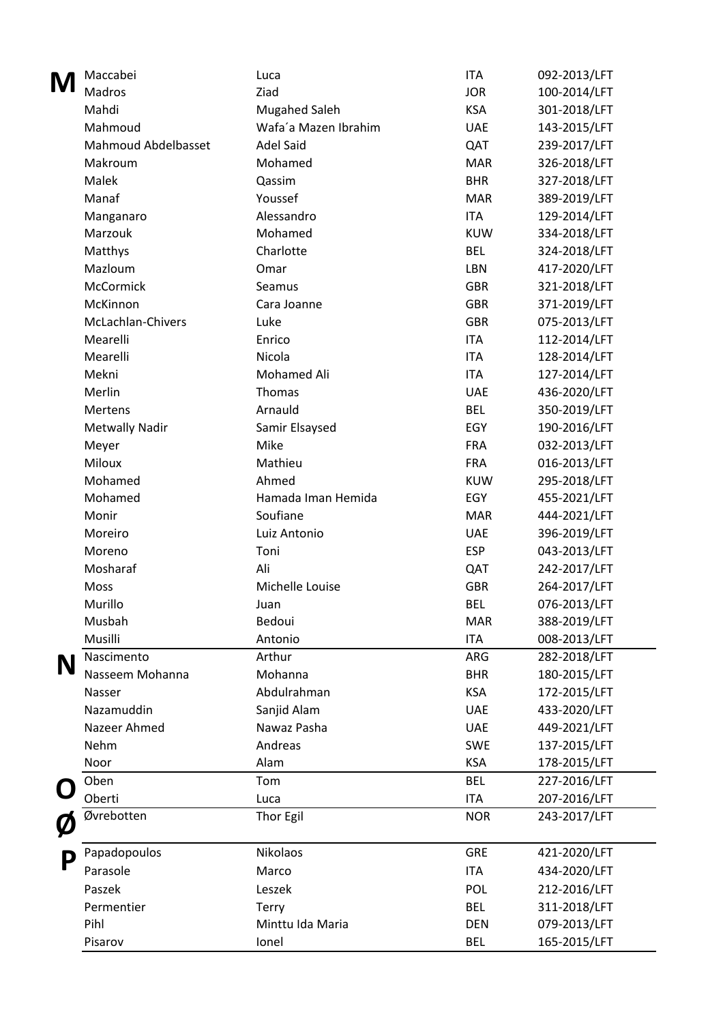| M | Maccabei                   | Luca                 | <b>ITA</b> | 092-2013/LFT |
|---|----------------------------|----------------------|------------|--------------|
|   | Madros                     | Ziad                 | <b>JOR</b> | 100-2014/LFT |
|   | Mahdi                      | <b>Mugahed Saleh</b> | <b>KSA</b> | 301-2018/LFT |
|   | Mahmoud                    | Wafa'a Mazen Ibrahim | <b>UAE</b> | 143-2015/LFT |
|   | <b>Mahmoud Abdelbasset</b> | <b>Adel Said</b>     | QAT        | 239-2017/LFT |
|   | Makroum                    | Mohamed              | <b>MAR</b> | 326-2018/LFT |
|   | Malek                      | Qassim               | <b>BHR</b> | 327-2018/LFT |
|   | Manaf                      | Youssef              | <b>MAR</b> | 389-2019/LFT |
|   | Manganaro                  | Alessandro           | <b>ITA</b> | 129-2014/LFT |
|   | Marzouk                    | Mohamed              | <b>KUW</b> | 334-2018/LFT |
|   | Matthys                    | Charlotte            | <b>BEL</b> | 324-2018/LFT |
|   | Mazloum                    | Omar                 | LBN        | 417-2020/LFT |
|   | McCormick                  | Seamus               | <b>GBR</b> | 321-2018/LFT |
|   | McKinnon                   | Cara Joanne          | <b>GBR</b> | 371-2019/LFT |
|   | McLachlan-Chivers          | Luke                 | <b>GBR</b> | 075-2013/LFT |
|   | Mearelli                   | Enrico               | <b>ITA</b> | 112-2014/LFT |
|   | Mearelli                   | Nicola               | <b>ITA</b> | 128-2014/LFT |
|   | Mekni                      | Mohamed Ali          | <b>ITA</b> | 127-2014/LFT |
|   | Merlin                     | Thomas               | <b>UAE</b> | 436-2020/LFT |
|   | <b>Mertens</b>             | Arnauld              | <b>BEL</b> | 350-2019/LFT |
|   | <b>Metwally Nadir</b>      | Samir Elsaysed       | EGY        | 190-2016/LFT |
|   | Meyer                      | Mike                 | <b>FRA</b> | 032-2013/LFT |
|   | Miloux                     | Mathieu              | <b>FRA</b> | 016-2013/LFT |
|   | Mohamed                    | Ahmed                | <b>KUW</b> | 295-2018/LFT |
|   | Mohamed                    | Hamada Iman Hemida   | EGY        | 455-2021/LFT |
|   | Monir                      | Soufiane             | <b>MAR</b> | 444-2021/LFT |
|   | Moreiro                    | Luiz Antonio         | <b>UAE</b> | 396-2019/LFT |
|   | Moreno                     | Toni                 | <b>ESP</b> | 043-2013/LFT |
|   | Mosharaf                   | Ali                  | QAT        | 242-2017/LFT |
|   | Moss                       | Michelle Louise      | <b>GBR</b> | 264-2017/LFT |
|   | Murillo                    | Juan                 | <b>BEL</b> | 076-2013/LFT |
|   | Musbah                     | Bedoui               | <b>MAR</b> | 388-2019/LFT |
|   | Musilli                    | Antonio              | <b>ITA</b> | 008-2013/LFT |
|   | Nascimento                 | Arthur               | ARG        | 282-2018/LFT |
|   | Nasseem Mohanna            | Mohanna              | <b>BHR</b> | 180-2015/LFT |
|   | Nasser                     | Abdulrahman          | <b>KSA</b> | 172-2015/LFT |
|   | Nazamuddin                 | Sanjid Alam          | <b>UAE</b> | 433-2020/LFT |
|   | Nazeer Ahmed               | Nawaz Pasha          | <b>UAE</b> | 449-2021/LFT |
|   | Nehm                       | Andreas              | <b>SWE</b> | 137-2015/LFT |
|   | Noor                       | Alam                 | <b>KSA</b> | 178-2015/LFT |
|   | Oben                       | Tom                  | <b>BEL</b> | 227-2016/LFT |
|   | Oberti                     | Luca                 | <b>ITA</b> | 207-2016/LFT |
|   | Øvrebotten                 | Thor Egil            | <b>NOR</b> | 243-2017/LFT |
|   |                            |                      |            |              |
| P | Papadopoulos               | Nikolaos             | <b>GRE</b> | 421-2020/LFT |
|   | Parasole                   | Marco                | <b>ITA</b> | 434-2020/LFT |
|   | Paszek                     | Leszek               | POL        | 212-2016/LFT |
|   | Permentier                 | Terry                | <b>BEL</b> | 311-2018/LFT |
|   | Pihl                       | Minttu Ida Maria     | <b>DEN</b> | 079-2013/LFT |
|   | Pisarov                    | Ionel                | <b>BEL</b> | 165-2015/LFT |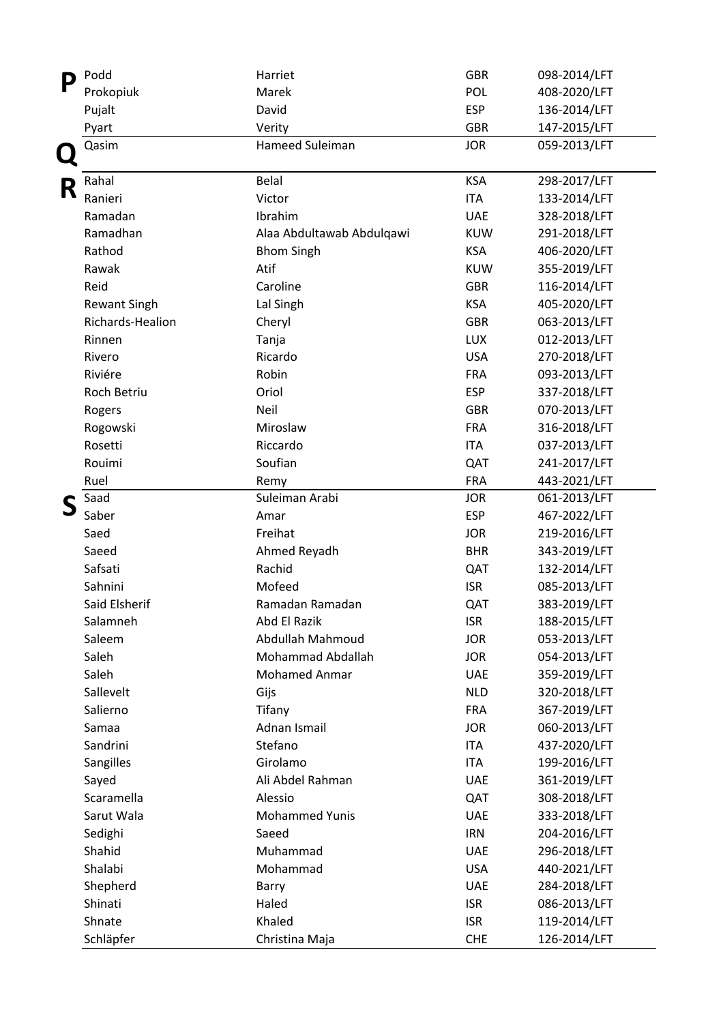| $\Box$ | Podd                | Harriet                   | <b>GBR</b> | 098-2014/LFT |
|--------|---------------------|---------------------------|------------|--------------|
|        | Prokopiuk           | Marek                     | POL        | 408-2020/LFT |
|        | Pujalt              | David                     | <b>ESP</b> | 136-2014/LFT |
|        | Pyart               | Verity                    | <b>GBR</b> | 147-2015/LFT |
|        | Qasim               | Hameed Suleiman           | <b>JOR</b> | 059-2013/LFT |
| R      | Rahal               | <b>Belal</b>              | <b>KSA</b> | 298-2017/LFT |
|        | Ranieri             | Victor                    | <b>ITA</b> | 133-2014/LFT |
|        | Ramadan             | Ibrahim                   | <b>UAE</b> | 328-2018/LFT |
|        | Ramadhan            | Alaa Abdultawab Abdulqawi | <b>KUW</b> | 291-2018/LFT |
|        | Rathod              | <b>Bhom Singh</b>         | <b>KSA</b> | 406-2020/LFT |
|        | Rawak               | Atif                      | <b>KUW</b> | 355-2019/LFT |
|        | Reid                | Caroline                  | <b>GBR</b> | 116-2014/LFT |
|        | <b>Rewant Singh</b> | Lal Singh                 | <b>KSA</b> | 405-2020/LFT |
|        | Richards-Healion    | Cheryl                    | <b>GBR</b> | 063-2013/LFT |
|        | Rinnen              | Tanja                     | LUX        | 012-2013/LFT |
|        | Rivero              | Ricardo                   | <b>USA</b> | 270-2018/LFT |
|        | Riviére             | Robin                     | <b>FRA</b> | 093-2013/LFT |
|        | Roch Betriu         | Oriol                     | <b>ESP</b> | 337-2018/LFT |
|        | Rogers              | Neil                      | <b>GBR</b> | 070-2013/LFT |
|        | Rogowski            | Miroslaw                  | <b>FRA</b> | 316-2018/LFT |
|        | Rosetti             | Riccardo                  | <b>ITA</b> | 037-2013/LFT |
|        | Rouimi              | Soufian                   | QAT        | 241-2017/LFT |
|        | Ruel                | Remy                      | <b>FRA</b> | 443-2021/LFT |
|        | Saad                | Suleiman Arabi            | <b>JOR</b> | 061-2013/LFT |
|        | Saber               | Amar                      | <b>ESP</b> | 467-2022/LFT |
|        | Saed                | Freihat                   | <b>JOR</b> | 219-2016/LFT |
|        | Saeed               | Ahmed Reyadh              | <b>BHR</b> | 343-2019/LFT |
|        | Safsati             | Rachid                    | QAT        | 132-2014/LFT |
|        | Sahnini             | Mofeed                    | <b>ISR</b> | 085-2013/LFT |
|        | Said Elsherif       | Ramadan Ramadan           | QAT        | 383-2019/LFT |
|        | Salamneh            | Abd El Razik              | <b>ISR</b> | 188-2015/LFT |
|        | Saleem              | Abdullah Mahmoud          | <b>JOR</b> | 053-2013/LFT |
|        | Saleh               | Mohammad Abdallah         | <b>JOR</b> | 054-2013/LFT |
|        | Saleh               | <b>Mohamed Anmar</b>      | <b>UAE</b> | 359-2019/LFT |
|        | Sallevelt           | Gijs                      | <b>NLD</b> | 320-2018/LFT |
|        | Salierno            | Tifany                    | <b>FRA</b> | 367-2019/LFT |
|        | Samaa               | Adnan Ismail              | <b>JOR</b> | 060-2013/LFT |
|        | Sandrini            | Stefano                   | <b>ITA</b> | 437-2020/LFT |
|        | Sangilles           | Girolamo                  | <b>ITA</b> | 199-2016/LFT |
|        | Sayed               | Ali Abdel Rahman          | <b>UAE</b> | 361-2019/LFT |
|        | Scaramella          | Alessio                   | QAT        | 308-2018/LFT |
|        | Sarut Wala          | <b>Mohammed Yunis</b>     | <b>UAE</b> | 333-2018/LFT |
|        | Sedighi             | Saeed                     | <b>IRN</b> | 204-2016/LFT |
|        | Shahid              | Muhammad                  | <b>UAE</b> | 296-2018/LFT |
|        | Shalabi             | Mohammad                  | <b>USA</b> | 440-2021/LFT |
|        | Shepherd            | Barry                     | <b>UAE</b> | 284-2018/LFT |
|        | Shinati             | Haled                     | <b>ISR</b> | 086-2013/LFT |
|        | Shnate              | Khaled                    | <b>ISR</b> | 119-2014/LFT |
|        | Schläpfer           | Christina Maja            | <b>CHE</b> | 126-2014/LFT |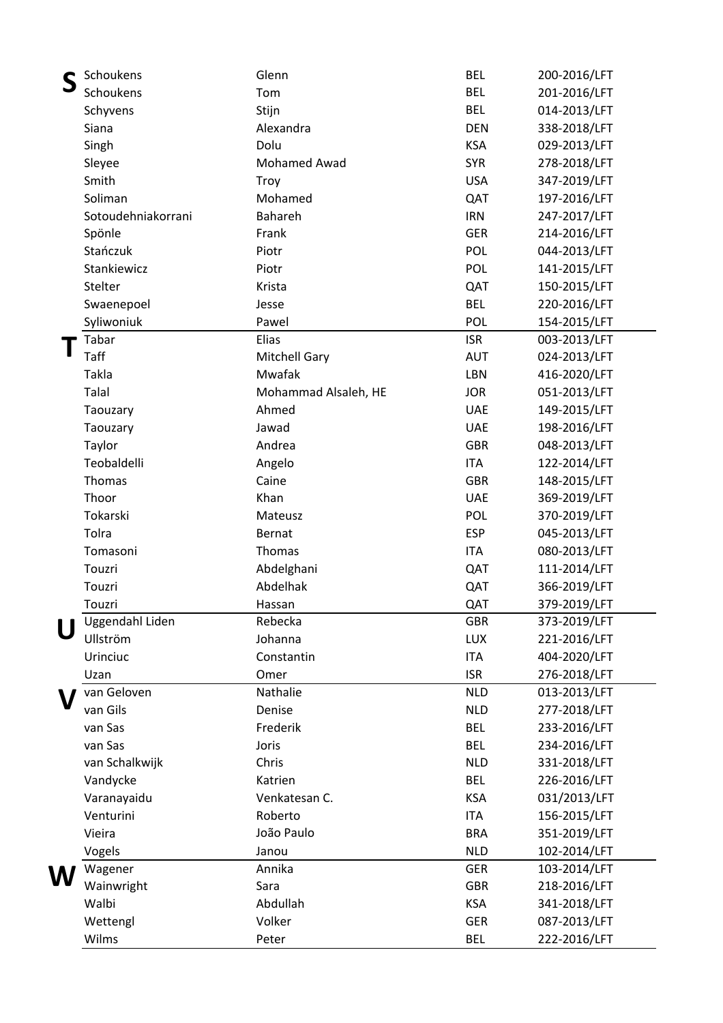| Schoukens          | Glenn                | <b>BEL</b> | 200-2016/LFT |
|--------------------|----------------------|------------|--------------|
| Schoukens          | Tom                  | <b>BEL</b> | 201-2016/LFT |
| Schyvens           | Stijn                | <b>BEL</b> | 014-2013/LFT |
| Siana              | Alexandra            | <b>DEN</b> | 338-2018/LFT |
| Singh              | Dolu                 | <b>KSA</b> | 029-2013/LFT |
| Sleyee             | <b>Mohamed Awad</b>  | <b>SYR</b> | 278-2018/LFT |
| Smith              | Troy                 | <b>USA</b> | 347-2019/LFT |
| Soliman            | Mohamed              | QAT        | 197-2016/LFT |
| Sotoudehniakorrani | Bahareh              | <b>IRN</b> | 247-2017/LFT |
| Spönle             | Frank                | <b>GER</b> | 214-2016/LFT |
| Stańczuk           | Piotr                | POL        | 044-2013/LFT |
| Stankiewicz        | Piotr                | POL        | 141-2015/LFT |
| Stelter            | Krista               | QAT        | 150-2015/LFT |
| Swaenepoel         | Jesse                | <b>BEL</b> | 220-2016/LFT |
| Syliwoniuk         | Pawel                | POL        | 154-2015/LFT |
| Tabar              | Elias                | <b>ISR</b> | 003-2013/LFT |
| Taff               | <b>Mitchell Gary</b> | <b>AUT</b> | 024-2013/LFT |
| Takla              | Mwafak               | LBN        | 416-2020/LFT |
| Talal              | Mohammad Alsaleh, HE | <b>JOR</b> | 051-2013/LFT |
| Taouzary           | Ahmed                | <b>UAE</b> | 149-2015/LFT |
| Taouzary           | Jawad                | <b>UAE</b> | 198-2016/LFT |
| Taylor             | Andrea               | <b>GBR</b> | 048-2013/LFT |
| Teobaldelli        | Angelo               | <b>ITA</b> | 122-2014/LFT |
| Thomas             | Caine                | <b>GBR</b> | 148-2015/LFT |
| Thoor              | Khan                 | <b>UAE</b> | 369-2019/LFT |
| Tokarski           | Mateusz              | POL        | 370-2019/LFT |
| Tolra              | <b>Bernat</b>        | <b>ESP</b> |              |
|                    |                      |            | 045-2013/LFT |
| Tomasoni           | Thomas               | <b>ITA</b> | 080-2013/LFT |
| Touzri<br>Touzri   | Abdelghani           | QAT        | 111-2014/LFT |
|                    | Abdelhak             | QAT        | 366-2019/LFT |
| Touzri             | Hassan               | QAT        | 379-2019/LFT |
| Uggendahl Liden    | Rebecka              | <b>GBR</b> | 373-2019/LFT |
| Ullström           | Johanna              | <b>LUX</b> | 221-2016/LFT |
| Urinciuc           | Constantin           | <b>ITA</b> | 404-2020/LFT |
| Uzan               | Omer                 | <b>ISR</b> | 276-2018/LFT |
| van Geloven        | Nathalie             | <b>NLD</b> | 013-2013/LFT |
| van Gils           | Denise               | <b>NLD</b> | 277-2018/LFT |
| van Sas            | Frederik             | <b>BEL</b> | 233-2016/LFT |
| van Sas            | Joris                | <b>BEL</b> | 234-2016/LFT |
| van Schalkwijk     | Chris                | <b>NLD</b> | 331-2018/LFT |
| Vandycke           | Katrien              | <b>BEL</b> | 226-2016/LFT |
| Varanayaidu        | Venkatesan C.        | <b>KSA</b> | 031/2013/LFT |
| Venturini          | Roberto              | <b>ITA</b> | 156-2015/LFT |
| Vieira             | João Paulo           | <b>BRA</b> | 351-2019/LFT |
| Vogels             | Janou                | <b>NLD</b> | 102-2014/LFT |
| Wagener            | Annika               | <b>GER</b> | 103-2014/LFT |
| Wainwright         | Sara                 | <b>GBR</b> | 218-2016/LFT |
| Walbi              | Abdullah             | <b>KSA</b> | 341-2018/LFT |
| Wettengl           | Volker               | <b>GER</b> | 087-2013/LFT |
| Wilms              | Peter                | <b>BEL</b> | 222-2016/LFT |